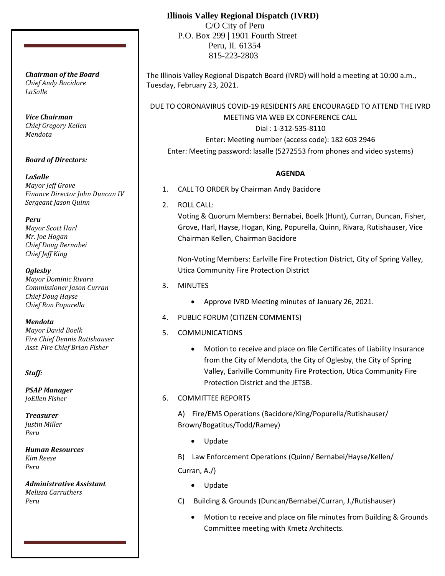# **Illinois Valley Regional Dispatch (IVRD)**

 C/O City of Peru P.O. Box 299 | 1901 Fourth Street Peru, IL 61354 815-223-2803

The Illinois Valley Regional Dispatch Board (IVRD) will hold a meeting at 10:00 a.m., Tuesday, February 23, 2021.

DUE TO CORONAVIRUS COVID-19 RESIDENTS ARE ENCOURAGED TO ATTEND THE IVRD MEETING VIA WEB EX CONFERENCE CALL

> Dial : 1-312-535-8110 Enter: Meeting number (access code): 182 603 2946

Enter: Meeting password: lasalle (5272553 from phones and video systems)

#### **AGENDA**

- 1. CALL TO ORDER by Chairman Andy Bacidore
- 2. ROLL CALL:

Voting & Quorum Members: Bernabei, Boelk (Hunt), Curran, Duncan, Fisher, Grove, Harl, Hayse, Hogan, King, Popurella, Quinn, Rivara, Rutishauser, Vice Chairman Kellen, Chairman Bacidore

Non-Voting Members: Earlville Fire Protection District, City of Spring Valley, Utica Community Fire Protection District

- 3. MINUTES
	- Approve IVRD Meeting minutes of January 26, 2021.
- 4. PUBLIC FORUM (CITIZEN COMMENTS)
- 5. COMMUNICATIONS
	- Motion to receive and place on file Certificates of Liability Insurance from the City of Mendota, the City of Oglesby, the City of Spring Valley, Earlville Community Fire Protection, Utica Community Fire Protection District and the JETSB.

## 6. COMMITTEE REPORTS

A) Fire/EMS Operations (Bacidore/King/Popurella/Rutishauser/ Brown/Bogatitus/Todd/Ramey)

- Update
- B) Law Enforcement Operations (Quinn/ Bernabei/Hayse/Kellen/

Curran, A./)

- Update
- C) Building & Grounds (Duncan/Bernabei/Curran, J./Rutishauser)
	- Motion to receive and place on file minutes from Building & Grounds Committee meeting with Kmetz Architects.

*Chairman of the Board Chief Andy Bacidore LaSalle*

*Vice Chairman Chief Gregory Kellen Mendota*

## *Board of Directors:*

*LaSalle Mayor Jeff Grove Finance Director John Duncan IV Sergeant Jason Quinn*

*Peru*

*Mayor Scott Harl Mr. Joe Hogan Chief Doug Bernabei Chief Jeff King*

*Oglesby Mayor Dominic Rivara Commissioner Jason Curran Chief Doug Hayse Chief Ron Popurella*

*Mendota Mayor David Boelk Fire Chief Dennis Rutishauser Asst. Fire Chief Brian Fisher*

*Staff:*

*PSAP Manager JoEllen Fisher*

*Treasurer Justin Miller Peru*

*Human Resources Kim Reese Peru*

*Administrative Assistant Melissa Carruthers Peru*